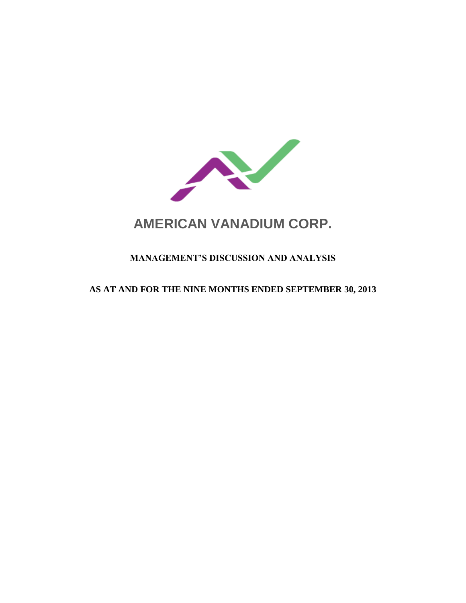

# **AMERICAN VANADIUM CORP.**

# **MANAGEMENT'S DISCUSSION AND ANALYSIS**

# **AS AT AND FOR THE NINE MONTHS ENDED SEPTEMBER 30, 2013**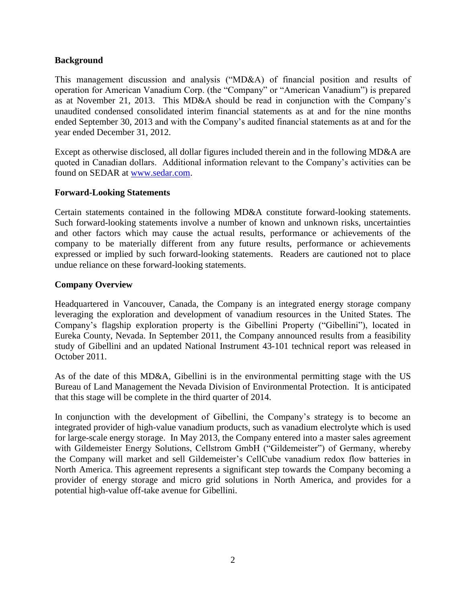# **Background**

This management discussion and analysis ("MD&A) of financial position and results of operation for American Vanadium Corp. (the "Company" or "American Vanadium") is prepared as at November 21, 2013. This MD&A should be read in conjunction with the Company's unaudited condensed consolidated interim financial statements as at and for the nine months ended September 30, 2013 and with the Company's audited financial statements as at and for the year ended December 31, 2012.

Except as otherwise disclosed, all dollar figures included therein and in the following MD&A are quoted in Canadian dollars. Additional information relevant to the Company's activities can be found on SEDAR at [www.sedar.com.](http://www.sedar.com/)

# **Forward-Looking Statements**

Certain statements contained in the following MD&A constitute forward-looking statements. Such forward-looking statements involve a number of known and unknown risks, uncertainties and other factors which may cause the actual results, performance or achievements of the company to be materially different from any future results, performance or achievements expressed or implied by such forward-looking statements. Readers are cautioned not to place undue reliance on these forward-looking statements.

# **Company Overview**

Headquartered in Vancouver, Canada, the Company is an integrated energy storage company leveraging the exploration and development of vanadium resources in the United States. The Company's flagship exploration property is the Gibellini Property ("Gibellini"), located in Eureka County, Nevada. In September 2011, the Company announced results from a feasibility study of Gibellini and an updated National Instrument 43-101 technical report was released in October 2011.

As of the date of this MD&A, Gibellini is in the environmental permitting stage with the US Bureau of Land Management the Nevada Division of Environmental Protection. It is anticipated that this stage will be complete in the third quarter of 2014.

In conjunction with the development of Gibellini, the Company's strategy is to become an integrated provider of high-value vanadium products, such as vanadium electrolyte which is used for large-scale energy storage. In May 2013, the Company entered into a master sales agreement with Gildemeister Energy Solutions, Cellstrom GmbH ("Gildemeister") of Germany, whereby the Company will market and sell Gildemeister's CellCube vanadium redox flow batteries in North America. This agreement represents a significant step towards the Company becoming a provider of energy storage and micro grid solutions in North America, and provides for a potential high-value off-take avenue for Gibellini.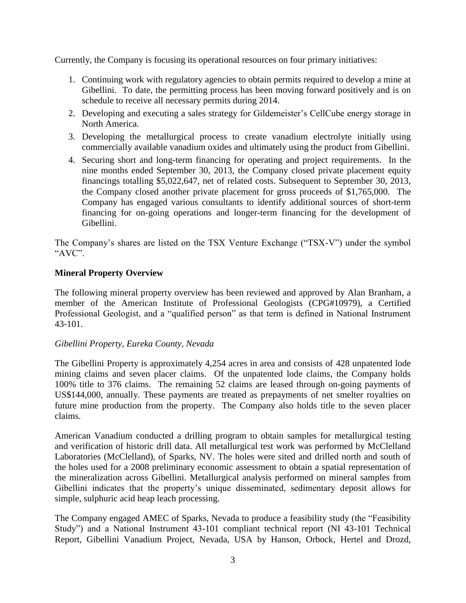Currently, the Company is focusing its operational resources on four primary initiatives:

- 1. Continuing work with regulatory agencies to obtain permits required to develop a mine at Gibellini. To date, the permitting process has been moving forward positively and is on schedule to receive all necessary permits during 2014.
- 2. Developing and executing a sales strategy for Gildemeister's CellCube energy storage in North America.
- 3. Developing the metallurgical process to create vanadium electrolyte initially using commercially available vanadium oxides and ultimately using the product from Gibellini.
- 4. Securing short and long-term financing for operating and project requirements. In the nine months ended September 30, 2013, the Company closed private placement equity financings totalling \$5,022,647, net of related costs. Subsequent to September 30, 2013, the Company closed another private placement for gross proceeds of \$1,765,000. The Company has engaged various consultants to identify additional sources of short-term financing for on-going operations and longer-term financing for the development of Gibellini.

The Company's shares are listed on the TSX Venture Exchange ("TSX-V") under the symbol "AVC".

# **Mineral Property Overview**

The following mineral property overview has been reviewed and approved by Alan Branham, a member of the American Institute of Professional Geologists (CPG#10979), a Certified Professional Geologist, and a "qualified person" as that term is defined in National Instrument 43-101.

#### *Gibellini Property, Eureka County, Nevada*

The Gibellini Property is approximately 4,254 acres in area and consists of 428 unpatented lode mining claims and seven placer claims. Of the unpatented lode claims, the Company holds 100% title to 376 claims. The remaining 52 claims are leased through on-going payments of US\$144,000, annually. These payments are treated as prepayments of net smelter royalties on future mine production from the property. The Company also holds title to the seven placer claims.

American Vanadium conducted a drilling program to obtain samples for metallurgical testing and verification of historic drill data. All metallurgical test work was performed by McClelland Laboratories (McClelland), of Sparks, NV. The holes were sited and drilled north and south of the holes used for a 2008 preliminary economic assessment to obtain a spatial representation of the mineralization across Gibellini. Metallurgical analysis performed on mineral samples from Gibellini indicates that the property's unique disseminated, sedimentary deposit allows for simple, sulphuric acid heap leach processing.

The Company engaged AMEC of Sparks, Nevada to produce a feasibility study (the "Feasibility Study") and a National Instrument 43-101 compliant technical report (NI 43-101 Technical Report, Gibellini Vanadium Project, Nevada, USA by Hanson, Orbock, Hertel and Drozd,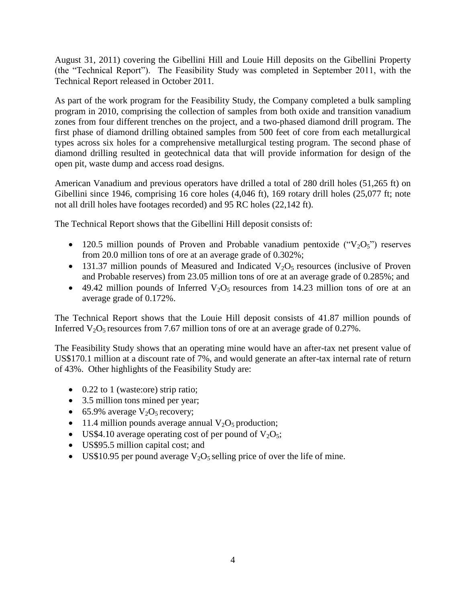August 31, 2011) covering the Gibellini Hill and Louie Hill deposits on the Gibellini Property (the "Technical Report"). The Feasibility Study was completed in September 2011, with the Technical Report released in October 2011.

As part of the work program for the Feasibility Study, the Company completed a bulk sampling program in 2010, comprising the collection of samples from both oxide and transition vanadium zones from four different trenches on the project, and a two-phased diamond drill program. The first phase of diamond drilling obtained samples from 500 feet of core from each metallurgical types across six holes for a comprehensive metallurgical testing program. The second phase of diamond drilling resulted in geotechnical data that will provide information for design of the open pit, waste dump and access road designs.

American Vanadium and previous operators have drilled a total of 280 drill holes (51,265 ft) on Gibellini since 1946, comprising 16 core holes (4,046 ft), 169 rotary drill holes (25,077 ft; note not all drill holes have footages recorded) and 95 RC holes (22,142 ft).

The Technical Report shows that the Gibellini Hill deposit consists of:

- 120.5 million pounds of Proven and Probable vanadium pentoxide (" $V_2O_5$ ") reserves from 20.0 million tons of ore at an average grade of 0.302%;
- 131.37 million pounds of Measured and Indicated  $V_2O_5$  resources (inclusive of Proven and Probable reserves) from 23.05 million tons of ore at an average grade of 0.285%; and
- $\bullet$  49.42 million pounds of Inferred V<sub>2</sub>O<sub>5</sub> resources from 14.23 million tons of ore at an average grade of 0.172%.

The Technical Report shows that the Louie Hill deposit consists of 41.87 million pounds of Inferred  $V_2O_5$  resources from 7.67 million tons of ore at an average grade of 0.27%.

The Feasibility Study shows that an operating mine would have an after-tax net present value of US\$170.1 million at a discount rate of 7%, and would generate an after-tax internal rate of return of 43%. Other highlights of the Feasibility Study are:

- 0.22 to 1 (waste:ore) strip ratio;
- 3.5 million tons mined per year;
- 65.9% average  $V_2O_5$  recovery;
- 11.4 million pounds average annual  $V_2O_5$  production;
- US\$4.10 average operating cost of per pound of  $V_2O_5$ ;
- US\$95.5 million capital cost; and
- US\$10.95 per pound average  $V_2O_5$  selling price of over the life of mine.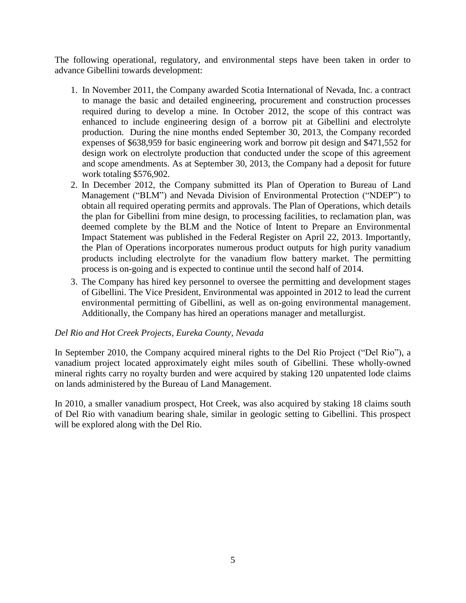The following operational, regulatory, and environmental steps have been taken in order to advance Gibellini towards development:

- 1. In November 2011, the Company awarded Scotia International of Nevada, Inc. a contract to manage the basic and detailed engineering, procurement and construction processes required during to develop a mine. In October 2012, the scope of this contract was enhanced to include engineering design of a borrow pit at Gibellini and electrolyte production. During the nine months ended September 30, 2013, the Company recorded expenses of \$638,959 for basic engineering work and borrow pit design and \$471,552 for design work on electrolyte production that conducted under the scope of this agreement and scope amendments. As at September 30, 2013, the Company had a deposit for future work totaling \$576,902.
- 2. In December 2012, the Company submitted its Plan of Operation to Bureau of Land Management ("BLM") and Nevada Division of Environmental Protection ("NDEP") to obtain all required operating permits and approvals. The Plan of Operations, which details the plan for Gibellini from mine design, to processing facilities, to reclamation plan, was deemed complete by the BLM and the Notice of Intent to Prepare an Environmental Impact Statement was published in the Federal Register on April 22, 2013. Importantly, the Plan of Operations incorporates numerous product outputs for high purity vanadium products including electrolyte for the vanadium flow battery market. The permitting process is on-going and is expected to continue until the second half of 2014.
- 3. The Company has hired key personnel to oversee the permitting and development stages of Gibellini. The Vice President, Environmental was appointed in 2012 to lead the current environmental permitting of Gibellini, as well as on-going environmental management. Additionally, the Company has hired an operations manager and metallurgist.

#### *Del Rio and Hot Creek Projects, Eureka County, Nevada*

In September 2010, the Company acquired mineral rights to the Del Rio Project ("Del Rio"), a vanadium project located approximately eight miles south of Gibellini. These wholly-owned mineral rights carry no royalty burden and were acquired by staking 120 unpatented lode claims on lands administered by the Bureau of Land Management.

In 2010, a smaller vanadium prospect, Hot Creek, was also acquired by staking 18 claims south of Del Rio with vanadium bearing shale, similar in geologic setting to Gibellini. This prospect will be explored along with the Del Rio.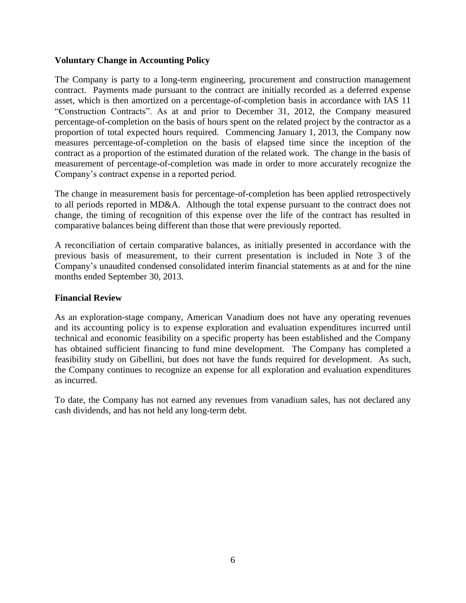### **Voluntary Change in Accounting Policy**

The Company is party to a long-term engineering, procurement and construction management contract. Payments made pursuant to the contract are initially recorded as a deferred expense asset, which is then amortized on a percentage-of-completion basis in accordance with IAS 11 "Construction Contracts". As at and prior to December 31, 2012, the Company measured percentage-of-completion on the basis of hours spent on the related project by the contractor as a proportion of total expected hours required. Commencing January 1, 2013, the Company now measures percentage-of-completion on the basis of elapsed time since the inception of the contract as a proportion of the estimated duration of the related work. The change in the basis of measurement of percentage-of-completion was made in order to more accurately recognize the Company's contract expense in a reported period.

The change in measurement basis for percentage-of-completion has been applied retrospectively to all periods reported in MD&A. Although the total expense pursuant to the contract does not change, the timing of recognition of this expense over the life of the contract has resulted in comparative balances being different than those that were previously reported.

A reconciliation of certain comparative balances, as initially presented in accordance with the previous basis of measurement, to their current presentation is included in Note 3 of the Company's unaudited condensed consolidated interim financial statements as at and for the nine months ended September 30, 2013.

#### **Financial Review**

As an exploration-stage company, American Vanadium does not have any operating revenues and its accounting policy is to expense exploration and evaluation expenditures incurred until technical and economic feasibility on a specific property has been established and the Company has obtained sufficient financing to fund mine development. The Company has completed a feasibility study on Gibellini, but does not have the funds required for development. As such, the Company continues to recognize an expense for all exploration and evaluation expenditures as incurred.

To date, the Company has not earned any revenues from vanadium sales, has not declared any cash dividends, and has not held any long-term debt.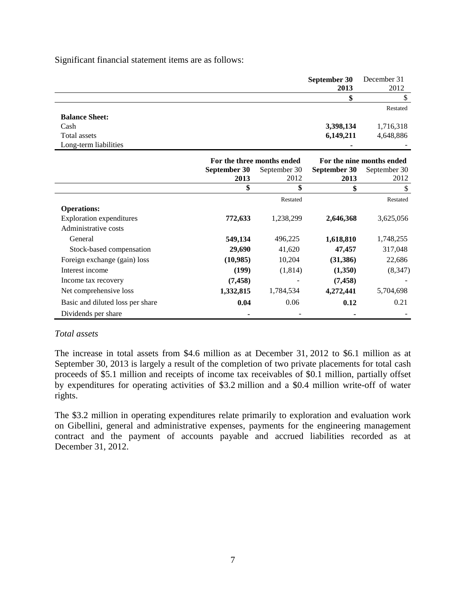Significant financial statement items are as follows:

|                       | September 30<br>2013 | December 31<br>2012 |
|-----------------------|----------------------|---------------------|
|                       |                      |                     |
|                       |                      | Restated            |
| <b>Balance Sheet:</b> |                      |                     |
| Cash                  | 3,398,134            | 1,716,318           |
| Total assets          | 6,149,211            | 4,648,886           |
| Long-term liabilities |                      |                     |

|                                  | For the three months ended |              | For the nine months ended |              |
|----------------------------------|----------------------------|--------------|---------------------------|--------------|
|                                  | September 30               | September 30 |                           | September 30 |
|                                  | 2013                       | 2012         | 2013                      | 2012         |
|                                  |                            |              |                           |              |
|                                  |                            | Restated     |                           | Restated     |
| <b>Operations:</b>               |                            |              |                           |              |
| <b>Exploration expenditures</b>  | 772,633                    | 1,238,299    | 2,646,368                 | 3,625,056    |
| Administrative costs             |                            |              |                           |              |
| General                          | 549,134                    | 496,225      | 1,618,810                 | 1,748,255    |
| Stock-based compensation         | 29,690                     | 41,620       | 47,457                    | 317,048      |
| Foreign exchange (gain) loss     | (10,985)                   | 10,204       | (31,386)                  | 22,686       |
| Interest income                  | (199)                      | (1,814)      | (1,350)                   | (8,347)      |
| Income tax recovery              | (7, 458)                   |              | (7, 458)                  |              |
| Net comprehensive loss           | 1,332,815                  | 1,784,534    | 4,272,441                 | 5,704,698    |
| Basic and diluted loss per share | 0.04                       | 0.06         | 0.12                      | 0.21         |
| Dividends per share              |                            |              |                           |              |

#### *Total assets*

The increase in total assets from \$4.6 million as at December 31, 2012 to \$6.1 million as at September 30, 2013 is largely a result of the completion of two private placements for total cash proceeds of \$5.1 million and receipts of income tax receivables of \$0.1 million, partially offset by expenditures for operating activities of \$3.2 million and a \$0.4 million write-off of water rights.

The \$3.2 million in operating expenditures relate primarily to exploration and evaluation work on Gibellini, general and administrative expenses, payments for the engineering management contract and the payment of accounts payable and accrued liabilities recorded as at December 31, 2012.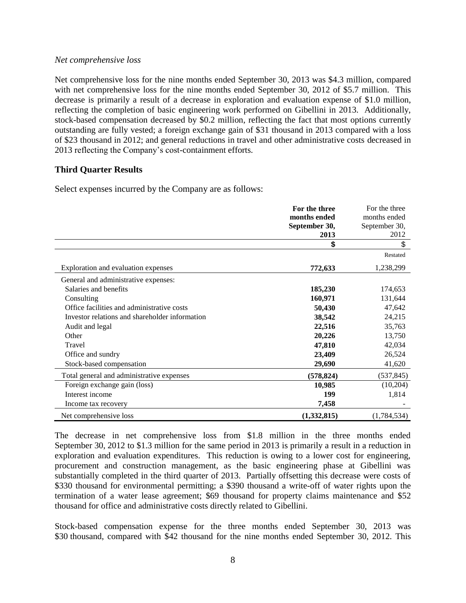#### *Net comprehensive loss*

Net comprehensive loss for the nine months ended September 30, 2013 was \$4.3 million, compared with net comprehensive loss for the nine months ended September 30, 2012 of \$5.7 million. This decrease is primarily a result of a decrease in exploration and evaluation expense of \$1.0 million, reflecting the completion of basic engineering work performed on Gibellini in 2013. Additionally, stock-based compensation decreased by \$0.2 million, reflecting the fact that most options currently outstanding are fully vested; a foreign exchange gain of \$31 thousand in 2013 compared with a loss of \$23 thousand in 2012; and general reductions in travel and other administrative costs decreased in 2013 reflecting the Company's cost-containment efforts.

#### **Third Quarter Results**

Select expenses incurred by the Company are as follows:

|                                                | For the three | For the three |
|------------------------------------------------|---------------|---------------|
|                                                | months ended  | months ended  |
|                                                | September 30, | September 30, |
|                                                | 2013          | 2012          |
|                                                | \$            | \$            |
|                                                |               | Restated      |
| Exploration and evaluation expenses            | 772,633       | 1,238,299     |
| General and administrative expenses:           |               |               |
| Salaries and benefits                          | 185,230       | 174,653       |
| Consulting                                     | 160,971       | 131,644       |
| Office facilities and administrative costs     | 50,430        | 47,642        |
| Investor relations and shareholder information | 38,542        | 24,215        |
| Audit and legal                                | 22,516        | 35,763        |
| Other                                          | 20,226        | 13,750        |
| Travel                                         | 47,810        | 42,034        |
| Office and sundry                              | 23,409        | 26,524        |
| Stock-based compensation                       | 29,690        | 41,620        |
| Total general and administrative expenses      | (578, 824)    | (537, 845)    |
| Foreign exchange gain (loss)                   | 10,985        | (10,204)      |
| Interest income                                | 199           | 1,814         |
| Income tax recovery                            | 7,458         |               |
| Net comprehensive loss                         | (1,332,815)   | (1,784,534)   |

The decrease in net comprehensive loss from \$1.8 million in the three months ended September 30, 2012 to \$1.3 million for the same period in 2013 is primarily a result in a reduction in exploration and evaluation expenditures. This reduction is owing to a lower cost for engineering, procurement and construction management, as the basic engineering phase at Gibellini was substantially completed in the third quarter of 2013. Partially offsetting this decrease were costs of \$330 thousand for environmental permitting; a \$390 thousand a write-off of water rights upon the termination of a water lease agreement; \$69 thousand for property claims maintenance and \$52 thousand for office and administrative costs directly related to Gibellini.

Stock-based compensation expense for the three months ended September 30, 2013 was \$30 thousand, compared with \$42 thousand for the nine months ended September 30, 2012. This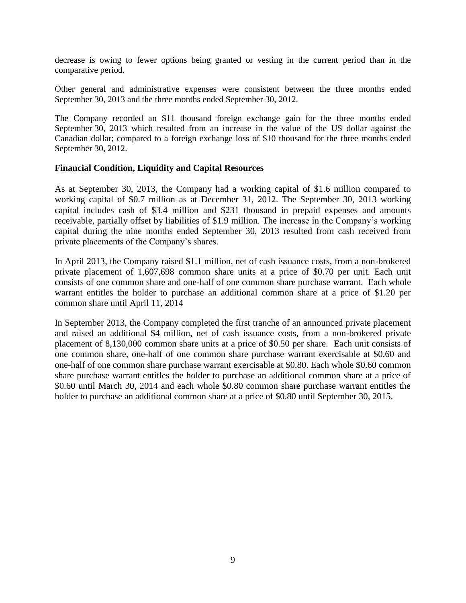decrease is owing to fewer options being granted or vesting in the current period than in the comparative period.

Other general and administrative expenses were consistent between the three months ended September 30, 2013 and the three months ended September 30, 2012.

The Company recorded an \$11 thousand foreign exchange gain for the three months ended September 30, 2013 which resulted from an increase in the value of the US dollar against the Canadian dollar; compared to a foreign exchange loss of \$10 thousand for the three months ended September 30, 2012.

#### **Financial Condition, Liquidity and Capital Resources**

As at September 30, 2013, the Company had a working capital of \$1.6 million compared to working capital of \$0.7 million as at December 31, 2012. The September 30, 2013 working capital includes cash of \$3.4 million and \$231 thousand in prepaid expenses and amounts receivable, partially offset by liabilities of \$1.9 million. The increase in the Company's working capital during the nine months ended September 30, 2013 resulted from cash received from private placements of the Company's shares.

In April 2013, the Company raised \$1.1 million, net of cash issuance costs, from a non-brokered private placement of 1,607,698 common share units at a price of \$0.70 per unit. Each unit consists of one common share and one-half of one common share purchase warrant. Each whole warrant entitles the holder to purchase an additional common share at a price of \$1.20 per common share until April 11, 2014

In September 2013, the Company completed the first tranche of an announced private placement and raised an additional \$4 million, net of cash issuance costs, from a non-brokered private placement of 8,130,000 common share units at a price of \$0.50 per share. Each unit consists of one common share, one-half of one common share purchase warrant exercisable at \$0.60 and one-half of one common share purchase warrant exercisable at \$0.80. Each whole \$0.60 common share purchase warrant entitles the holder to purchase an additional common share at a price of \$0.60 until March 30, 2014 and each whole \$0.80 common share purchase warrant entitles the holder to purchase an additional common share at a price of \$0.80 until September 30, 2015.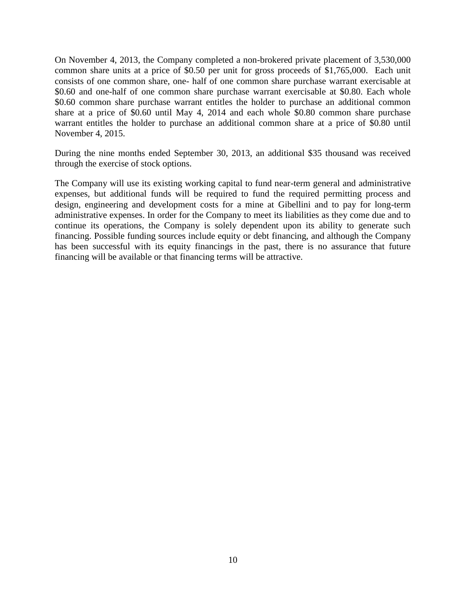On November 4, 2013, the Company completed a non-brokered private placement of 3,530,000 common share units at a price of \$0.50 per unit for gross proceeds of \$1,765,000. Each unit consists of one common share, one- half of one common share purchase warrant exercisable at \$0.60 and one-half of one common share purchase warrant exercisable at \$0.80. Each whole \$0.60 common share purchase warrant entitles the holder to purchase an additional common share at a price of \$0.60 until May 4, 2014 and each whole \$0.80 common share purchase warrant entitles the holder to purchase an additional common share at a price of \$0.80 until November 4, 2015.

During the nine months ended September 30, 2013, an additional \$35 thousand was received through the exercise of stock options.

The Company will use its existing working capital to fund near-term general and administrative expenses, but additional funds will be required to fund the required permitting process and design, engineering and development costs for a mine at Gibellini and to pay for long-term administrative expenses. In order for the Company to meet its liabilities as they come due and to continue its operations, the Company is solely dependent upon its ability to generate such financing. Possible funding sources include equity or debt financing, and although the Company has been successful with its equity financings in the past, there is no assurance that future financing will be available or that financing terms will be attractive.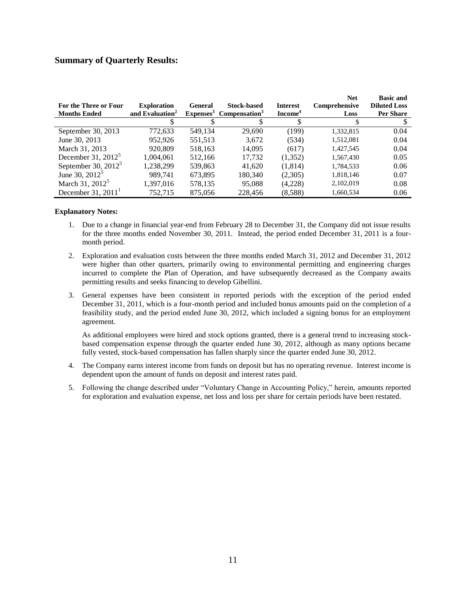#### **Summary of Quarterly Results:**

| For the Three or Four<br><b>Months Ended</b> | <b>Exploration</b><br>and Evaluation <sup>2</sup> | <b>General</b> | <b>Stock-based</b><br>Expenses <sup>3</sup> Compensation <sup>3</sup> | <b>Interest</b><br>Income <sup>4</sup> | <b>Net</b><br>Comprehensive<br>Loss | <b>Basic and</b><br><b>Diluted Loss</b><br><b>Per Share</b> |
|----------------------------------------------|---------------------------------------------------|----------------|-----------------------------------------------------------------------|----------------------------------------|-------------------------------------|-------------------------------------------------------------|
|                                              |                                                   |                |                                                                       |                                        |                                     |                                                             |
| September 30, 2013                           | 772,633                                           | 549,134        | 29.690                                                                | (199)                                  | 1,332,815                           | 0.04                                                        |
| June 30, 2013                                | 952,926                                           | 551,513        | 3,672                                                                 | (534)                                  | 1,512,081                           | 0.04                                                        |
| March 31, 2013                               | 920,809                                           | 518.163        | 14.095                                                                | (617)                                  | 1,427,545                           | 0.04                                                        |
| December 31, $2012^5$                        | 1.004.061                                         | 512,166        | 17.732                                                                | (1,352)                                | 1,567,430                           | 0.05                                                        |
| September 30, $2012^5$                       | 1.238.299                                         | 539,863        | 41.620                                                                | (1.814)                                | 1,784,533                           | 0.06                                                        |
| June 30, 2012 <sup>5</sup>                   | 989.741                                           | 673,895        | 180,340                                                               | (2,305)                                | 1,818,146                           | 0.07                                                        |
| March 31, 2012 <sup>5</sup>                  | 1,397,016                                         | 578,135        | 95,088                                                                | (4,228)                                | 2,102,019                           | 0.08                                                        |
| December 31, $20111$                         | 752.715                                           | 875,056        | 228,456                                                               | (8,588)                                | 1,660,534                           | 0.06                                                        |

#### **Explanatory Notes:**

- 1. Due to a change in financial year-end from February 28 to December 31, the Company did not issue results for the three months ended November 30, 2011. Instead, the period ended December 31, 2011 is a fourmonth period.
- 2. Exploration and evaluation costs between the three months ended March 31, 2012 and December 31, 2012 were higher than other quarters, primarily owing to environmental permitting and engineering charges incurred to complete the Plan of Operation, and have subsequently decreased as the Company awaits permitting results and seeks financing to develop Gibellini.
- 3. General expenses have been consistent in reported periods with the exception of the period ended December 31, 2011, which is a four-month period and included bonus amounts paid on the completion of a feasibility study, and the period ended June 30, 2012, which included a signing bonus for an employment agreement.

As additional employees were hired and stock options granted, there is a general trend to increasing stockbased compensation expense through the quarter ended June 30, 2012, although as many options became fully vested, stock-based compensation has fallen sharply since the quarter ended June 30, 2012.

- 4. The Company earns interest income from funds on deposit but has no operating revenue. Interest income is dependent upon the amount of funds on deposit and interest rates paid.
- 5. Following the change described under "Voluntary Change in Accounting Policy," herein, amounts reported for exploration and evaluation expense, net loss and loss per share for certain periods have been restated.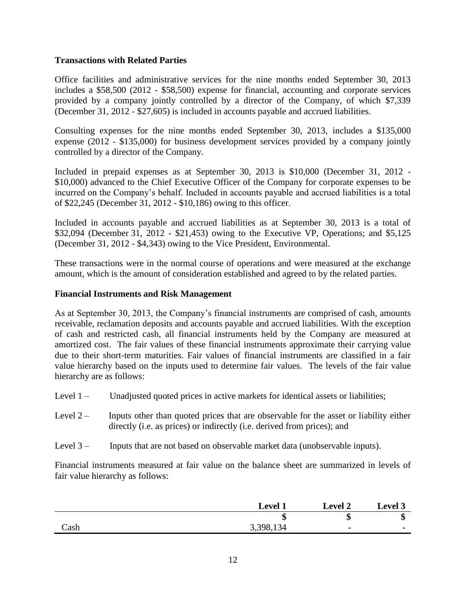## **Transactions with Related Parties**

Office facilities and administrative services for the nine months ended September 30, 2013 includes a \$58,500 (2012 - \$58,500) expense for financial, accounting and corporate services provided by a company jointly controlled by a director of the Company, of which \$7,339 (December 31, 2012 - \$27,605) is included in accounts payable and accrued liabilities.

Consulting expenses for the nine months ended September 30, 2013, includes a \$135,000 expense (2012 - \$135,000) for business development services provided by a company jointly controlled by a director of the Company.

Included in prepaid expenses as at September 30, 2013 is \$10,000 (December 31, 2012 - \$10,000) advanced to the Chief Executive Officer of the Company for corporate expenses to be incurred on the Company's behalf. Included in accounts payable and accrued liabilities is a total of \$22,245 (December 31, 2012 - \$10,186) owing to this officer.

Included in accounts payable and accrued liabilities as at September 30, 2013 is a total of \$32,094 (December 31, 2012 - \$21,453) owing to the Executive VP, Operations; and \$5,125 (December 31, 2012 - \$4,343) owing to the Vice President, Environmental.

These transactions were in the normal course of operations and were measured at the exchange amount, which is the amount of consideration established and agreed to by the related parties.

#### **Financial Instruments and Risk Management**

As at September 30, 2013, the Company's financial instruments are comprised of cash, amounts receivable, reclamation deposits and accounts payable and accrued liabilities. With the exception of cash and restricted cash, all financial instruments held by the Company are measured at amortized cost. The fair values of these financial instruments approximate their carrying value due to their short-term maturities. Fair values of financial instruments are classified in a fair value hierarchy based on the inputs used to determine fair values. The levels of the fair value hierarchy are as follows:

- Level 1 Unadjusted quoted prices in active markets for identical assets or liabilities;
- Level  $2 -$  Inputs other than quoted prices that are observable for the asset or liability either directly (i.e. as prices) or indirectly (i.e. derived from prices); and
- Level 3 Inputs that are not based on observable market data (unobservable inputs).

Financial instruments measured at fair value on the balance sheet are summarized in levels of fair value hierarchy as follows:

|      | <b>Level 1</b> | <b>Level 2</b> | <b>Level 3</b> |
|------|----------------|----------------|----------------|
|      | ۱D             | ٨D             | ٨D             |
| Cash | 3,398,134      | $\blacksquare$ | -              |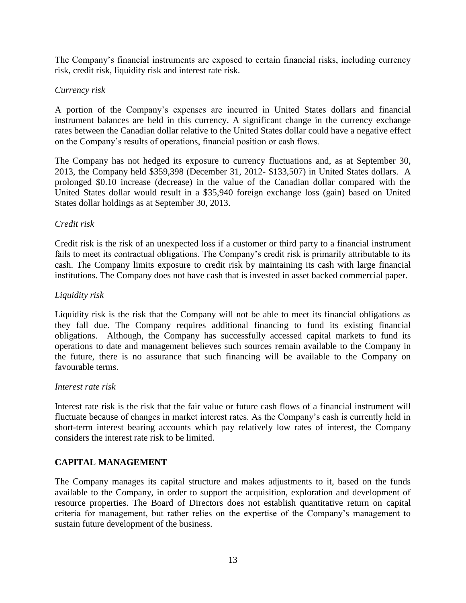The Company's financial instruments are exposed to certain financial risks, including currency risk, credit risk, liquidity risk and interest rate risk.

# *Currency risk*

A portion of the Company's expenses are incurred in United States dollars and financial instrument balances are held in this currency. A significant change in the currency exchange rates between the Canadian dollar relative to the United States dollar could have a negative effect on the Company's results of operations, financial position or cash flows.

The Company has not hedged its exposure to currency fluctuations and, as at September 30, 2013, the Company held \$359,398 (December 31, 2012- \$133,507) in United States dollars. A prolonged \$0.10 increase (decrease) in the value of the Canadian dollar compared with the United States dollar would result in a \$35,940 foreign exchange loss (gain) based on United States dollar holdings as at September 30, 2013.

#### *Credit risk*

Credit risk is the risk of an unexpected loss if a customer or third party to a financial instrument fails to meet its contractual obligations. The Company's credit risk is primarily attributable to its cash. The Company limits exposure to credit risk by maintaining its cash with large financial institutions. The Company does not have cash that is invested in asset backed commercial paper.

# *Liquidity risk*

Liquidity risk is the risk that the Company will not be able to meet its financial obligations as they fall due. The Company requires additional financing to fund its existing financial obligations. Although, the Company has successfully accessed capital markets to fund its operations to date and management believes such sources remain available to the Company in the future, there is no assurance that such financing will be available to the Company on favourable terms.

#### *Interest rate risk*

Interest rate risk is the risk that the fair value or future cash flows of a financial instrument will fluctuate because of changes in market interest rates. As the Company's cash is currently held in short-term interest bearing accounts which pay relatively low rates of interest, the Company considers the interest rate risk to be limited.

# **CAPITAL MANAGEMENT**

The Company manages its capital structure and makes adjustments to it, based on the funds available to the Company, in order to support the acquisition, exploration and development of resource properties. The Board of Directors does not establish quantitative return on capital criteria for management, but rather relies on the expertise of the Company's management to sustain future development of the business.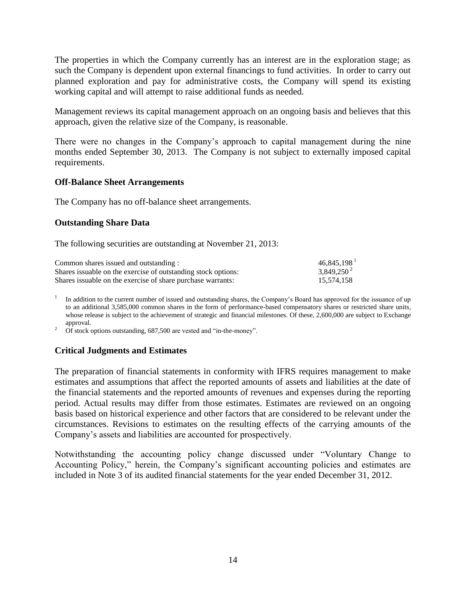The properties in which the Company currently has an interest are in the exploration stage; as such the Company is dependent upon external financings to fund activities. In order to carry out planned exploration and pay for administrative costs, the Company will spend its existing working capital and will attempt to raise additional funds as needed.

Management reviews its capital management approach on an ongoing basis and believes that this approach, given the relative size of the Company, is reasonable.

There were no changes in the Company's approach to capital management during the nine months ended September 30, 2013. The Company is not subject to externally imposed capital requirements.

#### **Off-Balance Sheet Arrangements**

The Company has no off-balance sheet arrangements.

#### **Outstanding Share Data**

The following securities are outstanding at November 21, 2013:

| Common shares issued and outstanding:                          | $46,845,198$ <sup>1</sup> |
|----------------------------------------------------------------|---------------------------|
| Shares is suable on the exercise of outstanding stock options: | $3,849,250^2$             |
| Shares is suable on the exercise of share purchase warrants:   | 15.574.158                |

1 In addition to the current number of issued and outstanding shares, the Company's Board has approved for the issuance of up to an additional 3,585,000 common shares in the form of performance-based compensatory shares or restricted share units, whose release is subject to the achievement of strategic and financial milestones. Of these, 2,600,000 are subject to Exchange approval.

<sup>2</sup> Of stock options outstanding, 687,500 are vested and "in-the-money".

#### **Critical Judgments and Estimates**

The preparation of financial statements in conformity with IFRS requires management to make estimates and assumptions that affect the reported amounts of assets and liabilities at the date of the financial statements and the reported amounts of revenues and expenses during the reporting period. Actual results may differ from those estimates. Estimates are reviewed on an ongoing basis based on historical experience and other factors that are considered to be relevant under the circumstances. Revisions to estimates on the resulting effects of the carrying amounts of the Company's assets and liabilities are accounted for prospectively.

Notwithstanding the accounting policy change discussed under "Voluntary Change to Accounting Policy," herein, the Company's significant accounting policies and estimates are included in Note 3 of its audited financial statements for the year ended December 31, 2012.